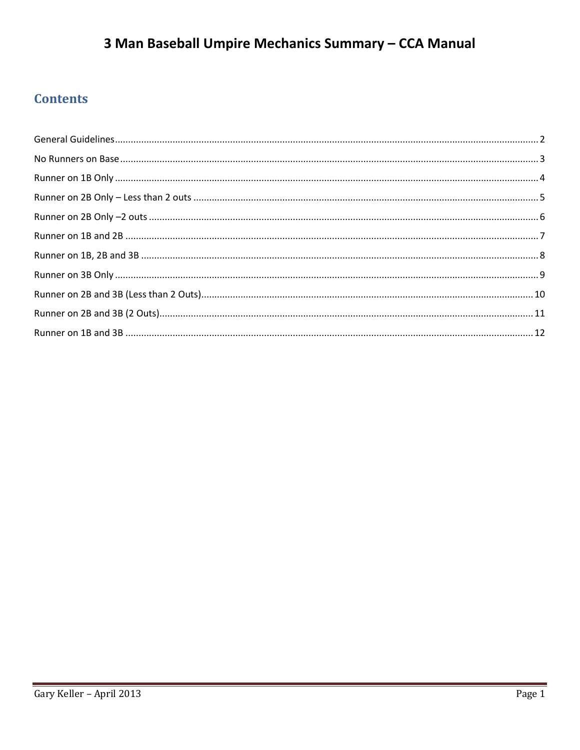# 3 Man Baseball Umpire Mechanics Summary - CCA Manual

## **Contents**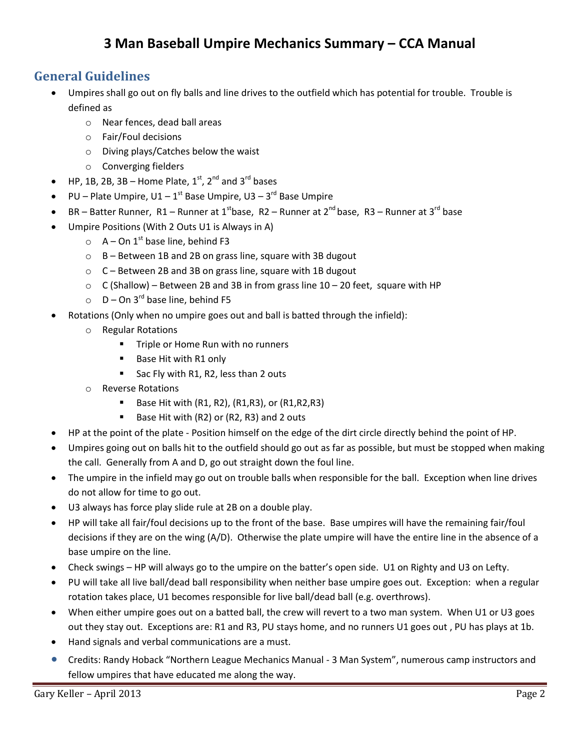## **3 Man Baseball Umpire Mechanics Summary – CCA Manual**

## <span id="page-1-0"></span>**General Guidelines**

- Umpires shall go out on fly balls and line drives to the outfield which has potential for trouble. Trouble is defined as
	- o Near fences, dead ball areas
	- o Fair/Foul decisions
	- o Diving plays/Catches below the waist
	- o Converging fielders
- HP, 1B, 2B, 3B Home Plate,  $1<sup>st</sup>$ ,  $2<sup>nd</sup>$  and  $3<sup>rd</sup>$  bases
- PU Plate Umpire,  $U1 1^{st}$  Base Umpire,  $U3 3^{rd}$  Base Umpire
- BR Batter Runner, R1 Runner at 1<sup>st</sup>base, R2 Runner at  $2^{nd}$  base, R3 Runner at 3<sup>rd</sup> base
- Umpire Positions (With 2 Outs U1 is Always in A)
	- $\circ$  A On 1<sup>st</sup> base line, behind F3
	- $\circ$  B Between 1B and 2B on grass line, square with 3B dugout
	- o C Between 2B and 3B on grass line, square with 1B dugout
	- $\circ$  C (Shallow) Between 2B and 3B in from grass line 10 20 feet, square with HP
	- $\circ$  D On 3<sup>rd</sup> base line, behind F5
- Rotations (Only when no umpire goes out and ball is batted through the infield):
	- o Regular Rotations
		- **Times** Triple or Home Run with no runners
		- Base Hit with R1 only
		- Sac Fly with R1, R2, less than 2 outs
	- o Reverse Rotations
		- **Base Hit with (R1, R2), (R1, R3), or (R1, R2, R3)**
		- Base Hit with (R2) or (R2, R3) and 2 outs
- HP at the point of the plate Position himself on the edge of the dirt circle directly behind the point of HP.
- Umpires going out on balls hit to the outfield should go out as far as possible, but must be stopped when making the call. Generally from A and D, go out straight down the foul line.
- The umpire in the infield may go out on trouble balls when responsible for the ball. Exception when line drives do not allow for time to go out.
- U3 always has force play slide rule at 2B on a double play.
- HP will take all fair/foul decisions up to the front of the base. Base umpires will have the remaining fair/foul decisions if they are on the wing (A/D). Otherwise the plate umpire will have the entire line in the absence of a base umpire on the line.
- Check swings HP will always go to the umpire on the batter's open side. U1 on Righty and U3 on Lefty.
- PU will take all live ball/dead ball responsibility when neither base umpire goes out. Exception: when a regular rotation takes place, U1 becomes responsible for live ball/dead ball (e.g. overthrows).
- When either umpire goes out on a batted ball, the crew will revert to a two man system. When U1 or U3 goes out they stay out. Exceptions are: R1 and R3, PU stays home, and no runners U1 goes out , PU has plays at 1b.
- Hand signals and verbal communications are a must.
- Credits: Randy Hoback "Northern League Mechanics Manual 3 Man System", numerous camp instructors and fellow umpires that have educated me along the way.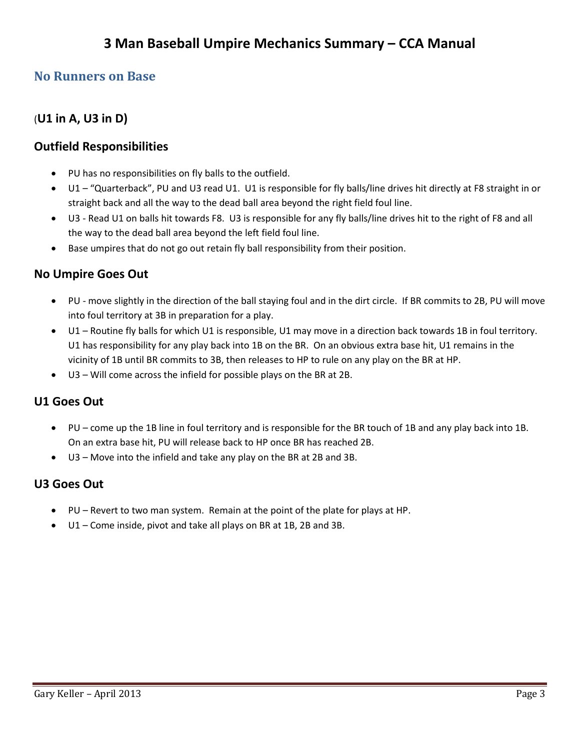## <span id="page-2-0"></span>**No Runners on Base**

## (**U1 in A, U3 in D)**

## **Outfield Responsibilities**

- PU has no responsibilities on fly balls to the outfield.
- U1 "Quarterback", PU and U3 read U1. U1 is responsible for fly balls/line drives hit directly at F8 straight in or straight back and all the way to the dead ball area beyond the right field foul line.
- U3 Read U1 on balls hit towards F8. U3 is responsible for any fly balls/line drives hit to the right of F8 and all the way to the dead ball area beyond the left field foul line.
- Base umpires that do not go out retain fly ball responsibility from their position.

### **No Umpire Goes Out**

- PU move slightly in the direction of the ball staying foul and in the dirt circle. If BR commits to 2B, PU will move into foul territory at 3B in preparation for a play.
- U1 Routine fly balls for which U1 is responsible, U1 may move in a direction back towards 1B in foul territory. U1 has responsibility for any play back into 1B on the BR. On an obvious extra base hit, U1 remains in the vicinity of 1B until BR commits to 3B, then releases to HP to rule on any play on the BR at HP.
- U3 Will come across the infield for possible plays on the BR at 2B.

### **U1 Goes Out**

- PU come up the 1B line in foul territory and is responsible for the BR touch of 1B and any play back into 1B. On an extra base hit, PU will release back to HP once BR has reached 2B.
- U3 Move into the infield and take any play on the BR at 2B and 3B.

### **U3 Goes Out**

- PU Revert to two man system. Remain at the point of the plate for plays at HP.
- U1 Come inside, pivot and take all plays on BR at 1B, 2B and 3B.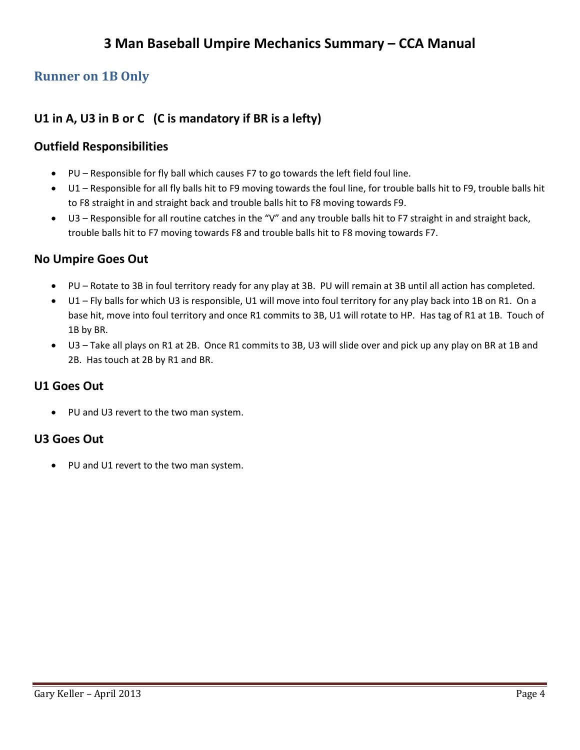## <span id="page-3-0"></span>**Runner on 1B Only**

## **U1 in A, U3 in B or C (C is mandatory if BR is a lefty)**

## **Outfield Responsibilities**

- PU Responsible for fly ball which causes F7 to go towards the left field foul line.
- U1 Responsible for all fly balls hit to F9 moving towards the foul line, for trouble balls hit to F9, trouble balls hit to F8 straight in and straight back and trouble balls hit to F8 moving towards F9.
- U3 Responsible for all routine catches in the "V" and any trouble balls hit to F7 straight in and straight back, trouble balls hit to F7 moving towards F8 and trouble balls hit to F8 moving towards F7.

## **No Umpire Goes Out**

- PU Rotate to 3B in foul territory ready for any play at 3B. PU will remain at 3B until all action has completed.
- U1 Fly balls for which U3 is responsible, U1 will move into foul territory for any play back into 1B on R1. On a base hit, move into foul territory and once R1 commits to 3B, U1 will rotate to HP. Has tag of R1 at 1B. Touch of 1B by BR.
- U3 Take all plays on R1 at 2B. Once R1 commits to 3B, U3 will slide over and pick up any play on BR at 1B and 2B. Has touch at 2B by R1 and BR.

## **U1 Goes Out**

• PU and U3 revert to the two man system.

### **U3 Goes Out**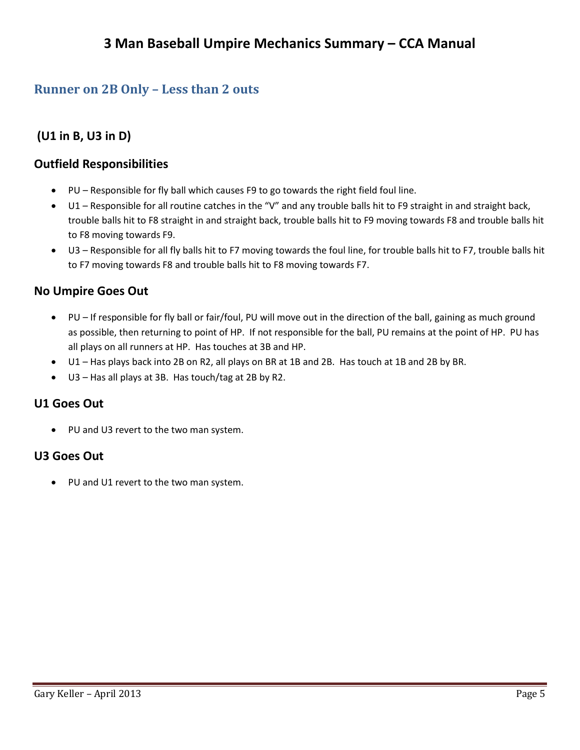## <span id="page-4-0"></span>**Runner on 2B Only – Less than 2 outs**

**(U1 in B, U3 in D)** 

## **Outfield Responsibilities**

- PU Responsible for fly ball which causes F9 to go towards the right field foul line.
- U1 Responsible for all routine catches in the "V" and any trouble balls hit to F9 straight in and straight back, trouble balls hit to F8 straight in and straight back, trouble balls hit to F9 moving towards F8 and trouble balls hit to F8 moving towards F9.
- U3 Responsible for all fly balls hit to F7 moving towards the foul line, for trouble balls hit to F7, trouble balls hit to F7 moving towards F8 and trouble balls hit to F8 moving towards F7.

#### **No Umpire Goes Out**

- PU If responsible for fly ball or fair/foul, PU will move out in the direction of the ball, gaining as much ground as possible, then returning to point of HP. If not responsible for the ball, PU remains at the point of HP. PU has all plays on all runners at HP. Has touches at 3B and HP.
- U1 Has plays back into 2B on R2, all plays on BR at 1B and 2B. Has touch at 1B and 2B by BR.
- U3 Has all plays at 3B. Has touch/tag at 2B by R2.

### **U1 Goes Out**

PU and U3 revert to the two man system.

#### **U3 Goes Out**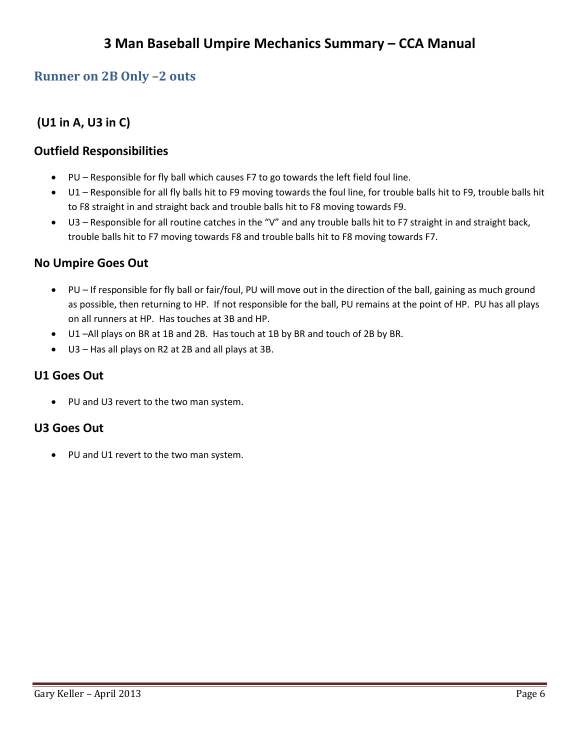## <span id="page-5-0"></span>**Runner on 2B Only –2 outs**

## **(U1 in A, U3 in C)**

### **Outfield Responsibilities**

- PU Responsible for fly ball which causes F7 to go towards the left field foul line.
- U1 Responsible for all fly balls hit to F9 moving towards the foul line, for trouble balls hit to F9, trouble balls hit to F8 straight in and straight back and trouble balls hit to F8 moving towards F9.
- U3 Responsible for all routine catches in the "V" and any trouble balls hit to F7 straight in and straight back, trouble balls hit to F7 moving towards F8 and trouble balls hit to F8 moving towards F7.

### **No Umpire Goes Out**

- PU If responsible for fly ball or fair/foul, PU will move out in the direction of the ball, gaining as much ground as possible, then returning to HP. If not responsible for the ball, PU remains at the point of HP. PU has all plays on all runners at HP. Has touches at 3B and HP.
- U1 –All plays on BR at 1B and 2B. Has touch at 1B by BR and touch of 2B by BR.
- U3 Has all plays on R2 at 2B and all plays at 3B.

### **U1 Goes Out**

• PU and U3 revert to the two man system.

### **U3 Goes Out**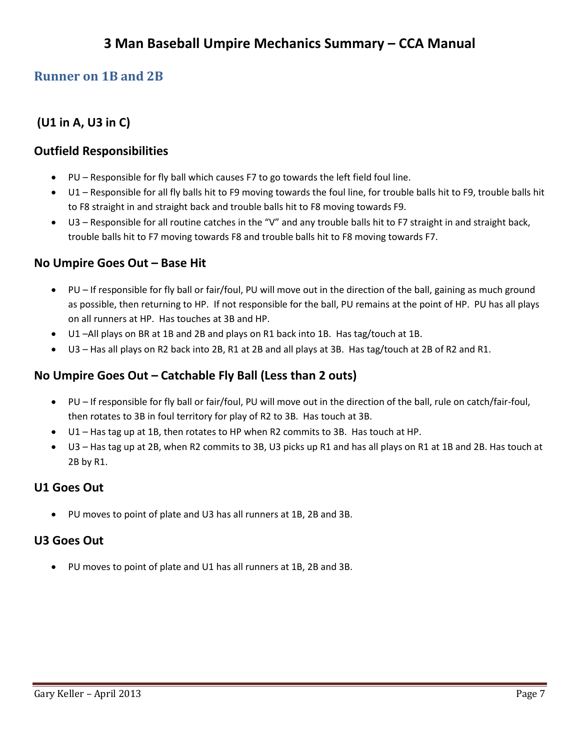## <span id="page-6-0"></span>**Runner on 1B and 2B**

## **(U1 in A, U3 in C)**

#### **Outfield Responsibilities**

- PU Responsible for fly ball which causes F7 to go towards the left field foul line.
- U1 Responsible for all fly balls hit to F9 moving towards the foul line, for trouble balls hit to F9, trouble balls hit to F8 straight in and straight back and trouble balls hit to F8 moving towards F9.
- U3 Responsible for all routine catches in the "V" and any trouble balls hit to F7 straight in and straight back, trouble balls hit to F7 moving towards F8 and trouble balls hit to F8 moving towards F7.

#### **No Umpire Goes Out – Base Hit**

- PU If responsible for fly ball or fair/foul, PU will move out in the direction of the ball, gaining as much ground as possible, then returning to HP. If not responsible for the ball, PU remains at the point of HP. PU has all plays on all runners at HP. Has touches at 3B and HP.
- U1 –All plays on BR at 1B and 2B and plays on R1 back into 1B. Has tag/touch at 1B.
- U3 Has all plays on R2 back into 2B, R1 at 2B and all plays at 3B. Has tag/touch at 2B of R2 and R1.

## **No Umpire Goes Out – Catchable Fly Ball (Less than 2 outs)**

- PU If responsible for fly ball or fair/foul, PU will move out in the direction of the ball, rule on catch/fair-foul, then rotates to 3B in foul territory for play of R2 to 3B. Has touch at 3B.
- U1 Has tag up at 1B, then rotates to HP when R2 commits to 3B. Has touch at HP.
- U3 Has tag up at 2B, when R2 commits to 3B, U3 picks up R1 and has all plays on R1 at 1B and 2B. Has touch at 2B by R1.

### **U1 Goes Out**

PU moves to point of plate and U3 has all runners at 1B, 2B and 3B.

#### **U3 Goes Out**

PU moves to point of plate and U1 has all runners at 1B, 2B and 3B.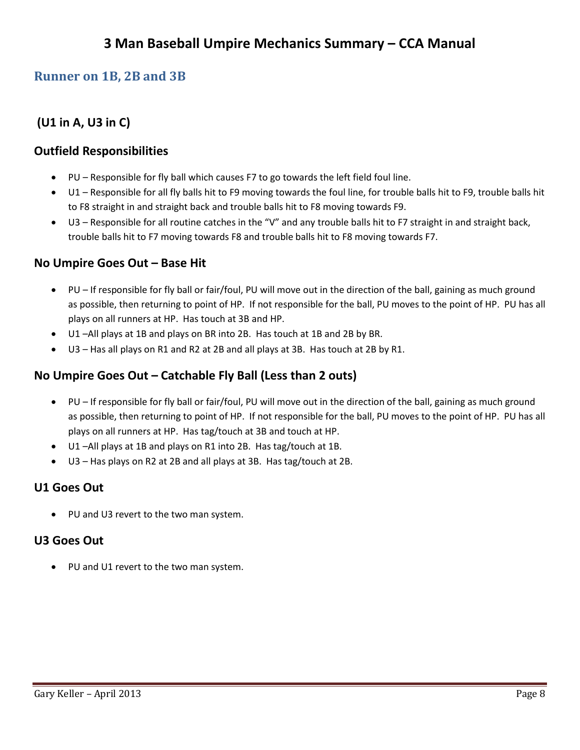## <span id="page-7-0"></span>**Runner on 1B, 2B and 3B**

## **(U1 in A, U3 in C)**

### **Outfield Responsibilities**

- PU Responsible for fly ball which causes F7 to go towards the left field foul line.
- U1 Responsible for all fly balls hit to F9 moving towards the foul line, for trouble balls hit to F9, trouble balls hit to F8 straight in and straight back and trouble balls hit to F8 moving towards F9.
- U3 Responsible for all routine catches in the "V" and any trouble balls hit to F7 straight in and straight back, trouble balls hit to F7 moving towards F8 and trouble balls hit to F8 moving towards F7.

#### **No Umpire Goes Out – Base Hit**

- PU If responsible for fly ball or fair/foul, PU will move out in the direction of the ball, gaining as much ground as possible, then returning to point of HP. If not responsible for the ball, PU moves to the point of HP. PU has all plays on all runners at HP. Has touch at 3B and HP.
- U1 –All plays at 1B and plays on BR into 2B. Has touch at 1B and 2B by BR.
- U3 Has all plays on R1 and R2 at 2B and all plays at 3B. Has touch at 2B by R1.

## **No Umpire Goes Out – Catchable Fly Ball (Less than 2 outs)**

- PU If responsible for fly ball or fair/foul, PU will move out in the direction of the ball, gaining as much ground as possible, then returning to point of HP. If not responsible for the ball, PU moves to the point of HP. PU has all plays on all runners at HP. Has tag/touch at 3B and touch at HP.
- U1 –All plays at 1B and plays on R1 into 2B. Has tag/touch at 1B.
- U3 Has plays on R2 at 2B and all plays at 3B. Has tag/touch at 2B.

### **U1 Goes Out**

PU and U3 revert to the two man system.

### **U3 Goes Out**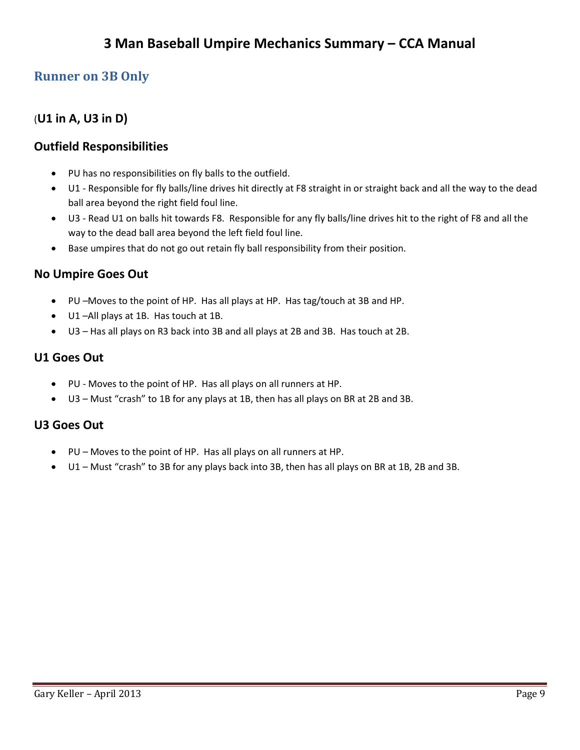## **3 Man Baseball Umpire Mechanics Summary – CCA Manual**

## <span id="page-8-0"></span>**Runner on 3B Only**

## (**U1 in A, U3 in D)**

### **Outfield Responsibilities**

- PU has no responsibilities on fly balls to the outfield.
- U1 Responsible for fly balls/line drives hit directly at F8 straight in or straight back and all the way to the dead ball area beyond the right field foul line.
- U3 Read U1 on balls hit towards F8. Responsible for any fly balls/line drives hit to the right of F8 and all the way to the dead ball area beyond the left field foul line.
- Base umpires that do not go out retain fly ball responsibility from their position.

#### **No Umpire Goes Out**

- PU –Moves to the point of HP. Has all plays at HP. Has tag/touch at 3B and HP.
- U1 –All plays at 1B. Has touch at 1B.
- U3 Has all plays on R3 back into 3B and all plays at 2B and 3B. Has touch at 2B.

#### **U1 Goes Out**

- PU Moves to the point of HP. Has all plays on all runners at HP.
- U3 Must "crash" to 1B for any plays at 1B, then has all plays on BR at 2B and 3B.

#### **U3 Goes Out**

- PU Moves to the point of HP. Has all plays on all runners at HP.
- U1 Must "crash" to 3B for any plays back into 3B, then has all plays on BR at 1B, 2B and 3B.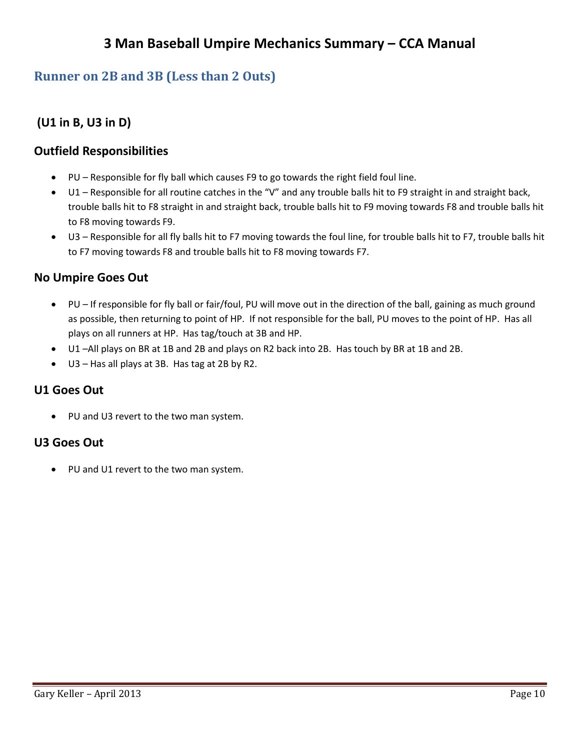## <span id="page-9-0"></span>**Runner on 2B and 3B (Less than 2 Outs)**

**(U1 in B, U3 in D)** 

## **Outfield Responsibilities**

- PU Responsible for fly ball which causes F9 to go towards the right field foul line.
- U1 Responsible for all routine catches in the "V" and any trouble balls hit to F9 straight in and straight back, trouble balls hit to F8 straight in and straight back, trouble balls hit to F9 moving towards F8 and trouble balls hit to F8 moving towards F9.
- U3 Responsible for all fly balls hit to F7 moving towards the foul line, for trouble balls hit to F7, trouble balls hit to F7 moving towards F8 and trouble balls hit to F8 moving towards F7.

### **No Umpire Goes Out**

- PU If responsible for fly ball or fair/foul, PU will move out in the direction of the ball, gaining as much ground as possible, then returning to point of HP. If not responsible for the ball, PU moves to the point of HP. Has all plays on all runners at HP. Has tag/touch at 3B and HP.
- U1 –All plays on BR at 1B and 2B and plays on R2 back into 2B. Has touch by BR at 1B and 2B.
- U3 Has all plays at 3B. Has tag at 2B by R2.

### **U1 Goes Out**

• PU and U3 revert to the two man system.

### **U3 Goes Out**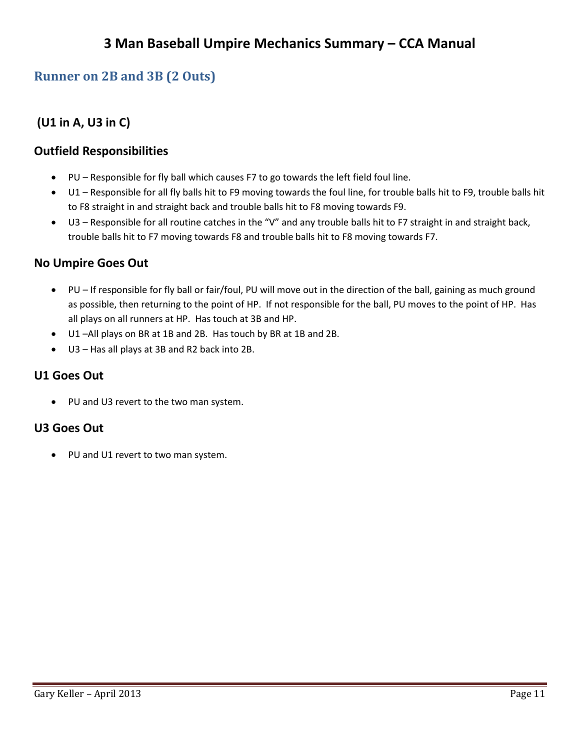## <span id="page-10-0"></span>**Runner on 2B and 3B (2 Outs)**

## **(U1 in A, U3 in C)**

### **Outfield Responsibilities**

- PU Responsible for fly ball which causes F7 to go towards the left field foul line.
- U1 Responsible for all fly balls hit to F9 moving towards the foul line, for trouble balls hit to F9, trouble balls hit to F8 straight in and straight back and trouble balls hit to F8 moving towards F9.
- U3 Responsible for all routine catches in the "V" and any trouble balls hit to F7 straight in and straight back, trouble balls hit to F7 moving towards F8 and trouble balls hit to F8 moving towards F7.

### **No Umpire Goes Out**

- PU If responsible for fly ball or fair/foul, PU will move out in the direction of the ball, gaining as much ground as possible, then returning to the point of HP. If not responsible for the ball, PU moves to the point of HP. Has all plays on all runners at HP. Has touch at 3B and HP.
- U1 –All plays on BR at 1B and 2B. Has touch by BR at 1B and 2B.
- U3 Has all plays at 3B and R2 back into 2B.

### **U1 Goes Out**

• PU and U3 revert to the two man system.

### **U3 Goes Out**